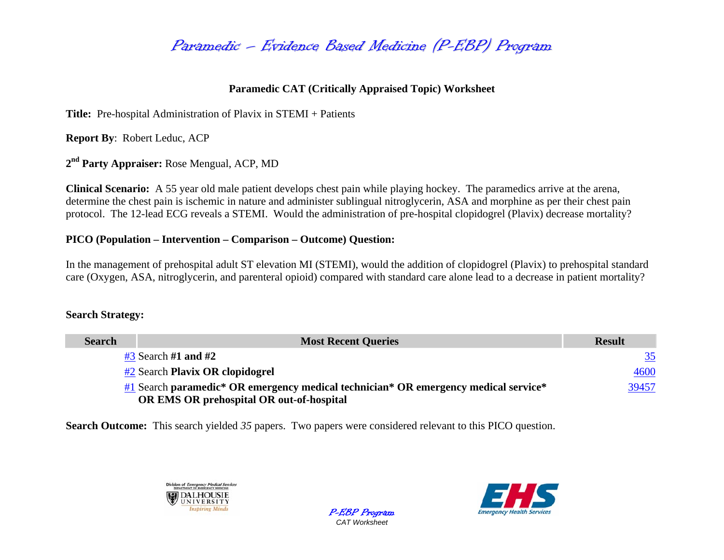# Paramedic – Evidence Based Medicine (P-EBP) Program

### **Paramedic CAT (Critically Appraised Topic) Worksheet**

**Title:** Pre-hospital Administration of Plavix in STEMI + Patients

**Report By**: Robert Leduc, ACP

**<sup>2</sup>nd Party Appraiser:** Rose Mengual, ACP, MD

**Clinical Scenario:** A 55 year old male patient develops chest pain while playing hockey. The paramedics arrive at the arena, determine the chest pain is ischemic in nature and administer sublingual nitroglycerin, ASA and morphine as per their chest pain protocol. The 12-lead ECG reveals a STEMI. Would the administration of pre-hospital clopidogrel (Plavix) decrease mortality?

### **PICO (Population – Intervention – Comparison – Outcome) Question:**

In the management of prehospital adult ST elevation MI (STEMI), would the addition of clopidogrel (Plavix) to prehospital standard care (Oxygen, ASA, nitroglycerin, and parenteral opioid) compared with standard care alone lead to a decrease in patient mortality?

### **Search Strategy:**

| <b>Search</b> | <b>Most Recent Queries</b>                                                                                                                 | <b>Result</b> |
|---------------|--------------------------------------------------------------------------------------------------------------------------------------------|---------------|
|               | $#3$ Search #1 and #2                                                                                                                      | 35            |
|               | #2 Search Plavix OR clopidogrel                                                                                                            | 4600          |
|               | $\frac{1}{2}$ Search paramedic* OR emergency medical technician* OR emergency medical service*<br>OR EMS OR prehospital OR out-of-hospital | 39457         |

**Search Outcome:** This search yielded 35 papers. Two papers were considered relevant to this PICO question.





P-EBP Program *CAT Worksheet*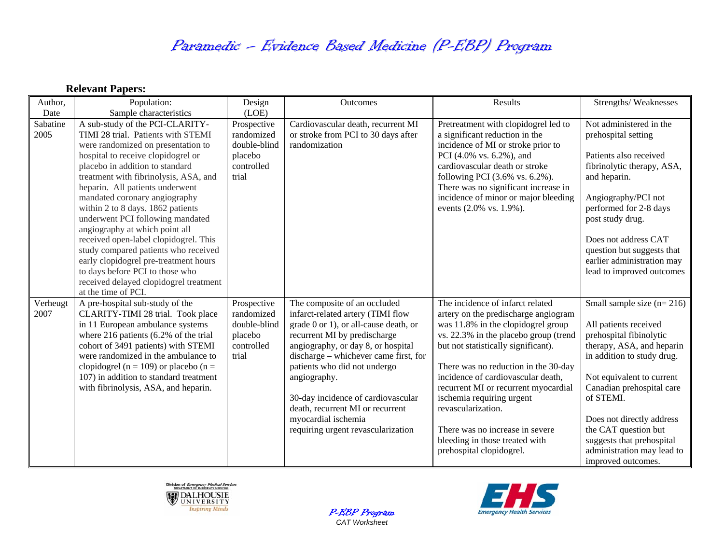## Paramedic – Evidence Based Medicine (P-EBP) Program

**Relevant Papers:** 

| Author,          | Population:                                                                                                                                                                                                                                                                                                                                                                                                                                                                                                                                                               | Design                                                                      | Outcomes                                                                                                                                                                                                                                                                                                                                                                                                         | Results                                                                                                                                                                                                                                                                                                                                                                                                                                                                  | Strengths/Weaknesses                                                                                                                                                                                                                                                                                                                                    |
|------------------|---------------------------------------------------------------------------------------------------------------------------------------------------------------------------------------------------------------------------------------------------------------------------------------------------------------------------------------------------------------------------------------------------------------------------------------------------------------------------------------------------------------------------------------------------------------------------|-----------------------------------------------------------------------------|------------------------------------------------------------------------------------------------------------------------------------------------------------------------------------------------------------------------------------------------------------------------------------------------------------------------------------------------------------------------------------------------------------------|--------------------------------------------------------------------------------------------------------------------------------------------------------------------------------------------------------------------------------------------------------------------------------------------------------------------------------------------------------------------------------------------------------------------------------------------------------------------------|---------------------------------------------------------------------------------------------------------------------------------------------------------------------------------------------------------------------------------------------------------------------------------------------------------------------------------------------------------|
| Date             | Sample characteristics                                                                                                                                                                                                                                                                                                                                                                                                                                                                                                                                                    | (LOE)                                                                       |                                                                                                                                                                                                                                                                                                                                                                                                                  |                                                                                                                                                                                                                                                                                                                                                                                                                                                                          |                                                                                                                                                                                                                                                                                                                                                         |
| Sabatine<br>2005 | A sub-study of the PCI-CLARITY-<br>TIMI 28 trial. Patients with STEMI<br>were randomized on presentation to<br>hospital to receive clopidogrel or<br>placebo in addition to standard<br>treatment with fibrinolysis, ASA, and<br>heparin. All patients underwent<br>mandated coronary angiography<br>within 2 to 8 days. 1862 patients<br>underwent PCI following mandated<br>angiography at which point all<br>received open-label clopidogrel. This<br>study compared patients who received<br>early clopidogrel pre-treatment hours<br>to days before PCI to those who | Prospective<br>randomized<br>double-blind<br>placebo<br>controlled<br>trial | Cardiovascular death, recurrent MI<br>or stroke from PCI to 30 days after<br>randomization                                                                                                                                                                                                                                                                                                                       | Pretreatment with clopidogrel led to<br>a significant reduction in the<br>incidence of MI or stroke prior to<br>PCI (4.0% vs. 6.2%), and<br>cardiovascular death or stroke<br>following PCI (3.6% vs. 6.2%).<br>There was no significant increase in<br>incidence of minor or major bleeding<br>events (2.0% vs. 1.9%).                                                                                                                                                  | Not administered in the<br>prehospital setting<br>Patients also received<br>fibrinolytic therapy, ASA,<br>and heparin.<br>Angiography/PCI not<br>performed for 2-8 days<br>post study drug.<br>Does not address CAT<br>question but suggests that<br>earlier administration may<br>lead to improved outcomes                                            |
|                  | received delayed clopidogrel treatment                                                                                                                                                                                                                                                                                                                                                                                                                                                                                                                                    |                                                                             |                                                                                                                                                                                                                                                                                                                                                                                                                  |                                                                                                                                                                                                                                                                                                                                                                                                                                                                          |                                                                                                                                                                                                                                                                                                                                                         |
| Verheugt<br>2007 | at the time of PCI.<br>A pre-hospital sub-study of the<br>CLARITY-TIMI 28 trial. Took place<br>in 11 European ambulance systems<br>where 216 patients (6.2% of the trial<br>cohort of 3491 patients) with STEMI<br>were randomized in the ambulance to<br>clopidogrel ( $n = 109$ ) or placebo ( $n =$<br>107) in addition to standard treatment<br>with fibrinolysis, ASA, and heparin.                                                                                                                                                                                  | Prospective<br>randomized<br>double-blind<br>placebo<br>controlled<br>trial | The composite of an occluded<br>infarct-related artery (TIMI flow<br>grade 0 or 1), or all-cause death, or<br>recurrent MI by predischarge<br>angiography, or day 8, or hospital<br>discharge - whichever came first, for<br>patients who did not undergo<br>angiography.<br>30-day incidence of cardiovascular<br>death, recurrent MI or recurrent<br>myocardial ischemia<br>requiring urgent revascularization | The incidence of infarct related<br>artery on the predischarge angiogram<br>was 11.8% in the clopidogrel group<br>vs. 22.3% in the placebo group (trend<br>but not statistically significant).<br>There was no reduction in the 30-day<br>incidence of cardiovascular death,<br>recurrent MI or recurrent myocardial<br>ischemia requiring urgent<br>revascularization.<br>There was no increase in severe<br>bleeding in those treated with<br>prehospital clopidogrel. | Small sample size $(n=216)$<br>All patients received<br>prehospital fibinolytic<br>therapy, ASA, and heparin<br>in addition to study drug.<br>Not equivalent to current<br>Canadian prehospital care<br>of STEMI.<br>Does not directly address<br>the CAT question but<br>suggests that prehospital<br>administration may lead to<br>improved outcomes. |

P-EBP Program *CAT Worksheet*